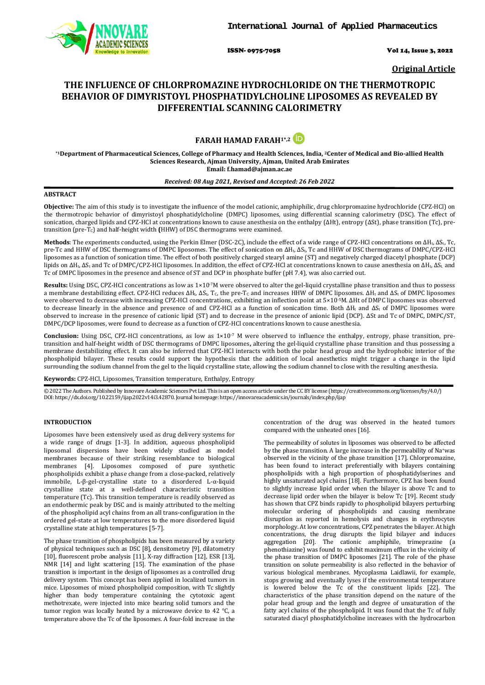

ISSN- 0975-7058 Vol 14, Issue 3, 2022

**Original Article**

# **THE INFLUENCE OF CHLORPROMAZINE HYDROCHLORIDE ON THE THERMOTROPIC BEHAVIOR OF DIMYRISTOYL PHOSPHATIDYLCHOLINE LIPOSOMES AS REVEALED BY DIFFERENTIAL SCANNING CALORIMETRY**

# **FARAH HAMAD FARAH1\*,2**

**\*1Department of Pharmaceutical Sciences, College of Pharmacy and Health Sciences, India, 2Center of Medical and Bio-allied Health Sciences Research, Ajman University, Ajman, United Arab Emirates Email[: f.hamad@ajman.ac.ae](mailto:f.hamad@ajman.ac.ae)**

#### *Received: 08 Aug 2021, Revised and Accepted: 26 Feb 2022*

# **ABSTRACT**

**Objective:** The aim of this study is to investigate the influence of the model cationic, amphiphilic, drug chlorpromazine hydrochloride (CPZ-HCl) on the thermotropic behavior of dimyristoyl phosphatidylcholine (DMPC) liposomes, using differential scanning calorimetry (DSC). The effect of sonication, charged lipids and CPZ-HCl at concentrations known to cause anesthesia on the enthalpy (ΔHt), entropy (ΔSt), phase transition (Tc), pretransition (pre-TC) and half-height width **(**HHW) of DSC thermograms were examined.

**Methods**: The experiments conducted, using the Perkin Elmer (DSC-2C), include the effect of a wide range of CPZ-HCl concentrations on ΔHt, ΔSt, Tc, pre-Tc and HHW of DSC thermograms of DMPC liposomes. The effect of sonication on ΔHt, ΔSt, Tc and HHW of DSC thermograms of DMPC/CPZ-HCl liposomes as a function of sonication time. The effect of both positively charged stearyl amine (ST) and negatively charged diacetyl phosphate (DCP) lipids on ΔHt, ΔS<sup>t</sup> and Tc of DMPC/CPZ-HCl liposomes. In addition, the effect of CPZ-HCl at concentrations known to cause anesthesia on ΔHt, ΔSt. and Tc of DMPC liposomes in the presence and absence of ST and DCP in phosphate buffer (pH 7.4), was also carried out.

**Results:** Using DSC, CPZ-HCl concentrations as low as 1×10-7M were observed to alter the gel-liquid crystalline phase transition and thus to possess a membrane destabilizing effect. CPZ-HCl reduces ΔH<sub>t</sub>, ΔS<sub>t</sub>, T<sub>c</sub>, the pre-T<sub>c</sub> and increases HHW of DMPC liposomes. ΔH<sub>t</sub> and ΔS<sub>t</sub> of DMPC liposomes were observed to decrease with increasing CPZ-HCl concentrations, exhibiting an inflection point at 5×10-5M. ΔHt of DMPC liposomes was observed to decrease linearly in the absence and presence of and CPZ-HCl as a function of sonication time. Both ΔH<sub>t</sub> and ΔS<sub>t</sub> of DMPC liposomes were observed to increase in the presence of cationic lipid (ST) and to decrease in the presence of anionic lipid (DCP). ΔSt and Tc of DMPC, DMPC/ST, DMPC/DCP liposomes, were found to decrease as a function of CPZ-HCl concentrations known to cause anesthesia.

**Conclusion:** Using DSC, CPZ-HCl concentrations, as low as 1×10<sup>-7</sup> M were observed to influence the enthalpy, entropy, phase transition, pretransition and half-height width of DSC thermograms of DMPC liposomes**,** altering the gel-liquid crystalline phase transition and thus possessing a membrane destabilizing effect. It can also be inferred that CPZ-HCl interacts with both the polar head group and the hydrophobic interior of the phospholipid bilayer. These results could support the hypothesis that the addition of local anesthetics might trigger a change in the lipid surrounding the sodium channel from the gel to the liquid crystalline state, allowing the sodium channel to close with the resulting anesthesia.

**Keywords:** CPZ-HCl, Liposomes, Transition temperature, Enthalpy, Entropy

© 2022 The Authors. Published by Innovare Academic Sciences Pvt Ltd. This is an open access article under the CC BY license [\(https://creativecommons.org/licenses/by/4.0/\)](https://creativecommons.org/licenses/by/4.0/) DOI: https://dx.doi.org/10.22159/ijap.2022v14i3.42870. Journal homepage[: https://innovareacademics.in/journals/index.php/ijap](https://innovareacademics.in/journals/index.php/ijap)

# **INTRODUCTION**

Liposomes have been extensively used as drug delivery systems for a wide range of drugs [1-3]. In addition, aqueous phospholipid liposomal dispersions have been widely studied as model membranes because of their striking resemblance to biological membranes [4]. Liposomes composed of pure synthetic phospholipids exhibit a phase change from a close-packed, relatively immobile, L-β-gel-crystalline state to a disordered L-α-liquid crystalline state at a well-defined characteristic transition temperature (Tc). This transition temperature is readily observed as an endothermic peak by DSC and is mainly attributed to the melting of the phospholipid acyl chains from an all trans-configuration in the ordered gel-state at low temperatures to the more disordered liquid crystalline state at high temperatures [5-7].

The phase transition of phospholipids has been measured by a variety of physical techniques such as DSC [8], densitometry [9], dilatometry [10], fluorescent probe analysis [11], X-ray diffraction [12], ESR [13], NMR [14] and light scattering [15]. The examination of the phase transition is important in the design of liposomes as a controlled drug delivery system. This concept has been applied in localized tumors in mice. Liposomes of mixed phospholipid composition, with Tc slightly higher than body temperature containing the cytotoxic agent methotrexate, were injected into mice bearing solid tumors and the tumor region was locally heated by a microwave device to 42 °C, a temperature above the Tc of the liposomes. A four-fold increase in the

concentration of the drug was observed in the heated tumors compared with the unheated ones [16].

The permeability of solutes in liposomes was observed to be affected by the phase transition. A large increase in the permeability of Na+was observed in the vicinity of the phase transition [17]. Chlorpromazine, has been found to interact preferentially with bilayers containing phospholipids with a high proportion of phosphatidylserines and highly unsaturated acyl chains [18]. Furthermore, CPZ has been found to slightly increase lipid order when the bilayer is above Tc and to decrease lipid order when the bilayer is below Tc [19]. Recent study has shown that CPZ binds rapidly to phospholipid bilayers perturbing molecular ordering of phospholipids and causing membrane disruption as reported in hemolysis and changes in erythrocytes morphology. At low concentrations, CPZ penetrates the bilayer. At high concentrations, the drug disrupts the lipid bilayer and induces aggregation [20]. The cationic amphiphile, trimeprazine (a phenothiazine) was found to exhibit maximum efflux in the vicinity of the phase transition of DMPC liposomes [21]. The role of the phase transition on solute permeability is also reflected in the behavior of various biological membranes. Mycoplasma Laidlawii, for example, stops growing and eventually lyses if the environmental temperature is lowered below the Tc of the constituent lipids [22]. The characteristics of the phase transition depend on the nature of the polar head group and the length and degree of unsaturation of the fatty acyl chains of the phospholipid. It was found that the Tc of fully saturated diacyl phosphatidylcholine increases with the hydrocarbon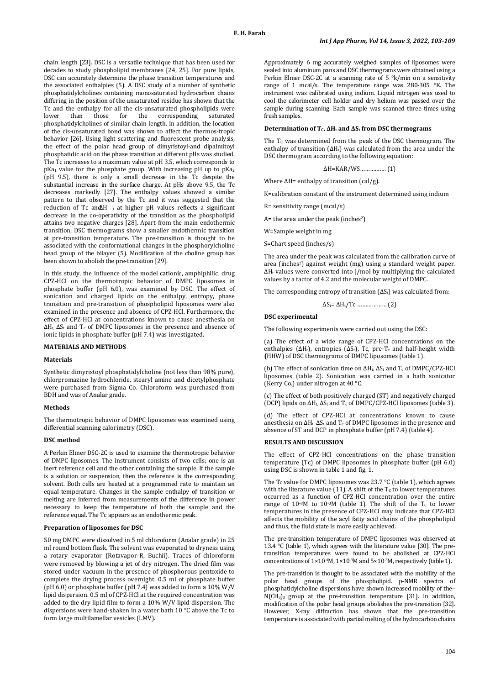chain length [23]. DSC is a versatile technique that has been used for decades to study phospholipid membranes [24, 25]. For pure lipids, DSC can accurately determine the phase transition temperatures and the associated enthalpies (5). A DSC study of a number of synthetic phosphatidylcholines containing monosaturated hydrocarbon chains differing in the position of the unsaturated residue has shown that the Tc and the enthalpy for all the cis-unsaturated phospholipids were<br>lower than those for the corresponding saturated lower than those for the corresponding saturated phosphatidylcholines of similar chain length. In addition, the location of the cis-unsaturated bond was shown to affect the thermos-tropic behavior [26]. Using light scattering and fluorescent probe analysis, the effect of the polar head group of dimyristoyl-and dipalmitoyl phosphatidic acid on the phase transition at different pHs was studied. The Tc increases to a maximum value at pH 3.5, which corresponds to  $pKa<sub>1</sub>$  value for the phosphate group. With increasing pH up to  $pKa<sub>2</sub>$ (pH 9.5), there is only a small decrease in the Tc despite the substantial increase in the surface charge. At pHs above 9.5, the Tc decreases markedly [27]. The enthalpy values showed a similar pattern to that observed by the Tc and it was suggested that the reduction of Tc and ∆H t at higher pH values reflects a significant decrease in the co-operativity of the transition as the phospholipid attains two negative charges [28]. Apart from the main endothermic transition, DSC thermograms show a smaller endothermic transition at pre-transition temperature. The pre-transition is thought to be associated with the conformational changes in the phosphorylcholine head group of the bilayer (5). Modification of the choline group has been shown to abolish the pre-transition [29].

In this study, the influence of the model cationic, amphiphilic, drug CPZ-HCl on the thermotropic behavior of DMPC liposomes in phosphate buffer (pH 6.0), was examined by DSC. The effect of sonication and charged lipids on the enthalpy, entropy, phase transition and pre-transition of phospholipid liposomes were also examined in the presence and absence of CPZ-HCl. Furthermore, the effect of CPZ-HCl at concentrations known to cause anesthesia on ΔHt, ΔS<sup>t</sup> and Tc of DMPC liposomes in the presence and absence of ionic lipids in phosphate buffer (pH 7.4) was investigated.

### **MATERIALS AND METHODS**

#### **Materials**

Synthetic dimyristoyl phosphatidylcholine (not less than 98% pure), chlorpromazine hydrochloride, stearyl amine and dicetylphosphate were purchased from Sigma Co. Chloroform was purchased from BDH and was of Analar grade.

# **Methods**

The thermotropic behavior of DMPC liposomes was examined using differential scanning calorimetry (DSC).

#### **DSC method**

A Perkin Elmer DSC-2C is used to examine the thermotropic behavior of DMPC liposomes. The instrument consists of two cells; one is an inert reference cell and the other containing the sample. If the sample is a solution or suspension, then the reference is the corresponding solvent. Both cells are heated at a programmed rate to maintain an equal temperature. Changes in the sample enthalpy of transition or melting are inferred from measurements of the difference in power necessary to keep the temperature of both the sample and the reference equal. The Tc appears as an endothermic peak.

#### **Preparation of liposomes for DSC**

50 mg DMPC were dissolved in 5 ml chloroform (Analar grade) in 25 ml round bottom flask. The solvent was evaporated to dryness using a rotary evaporator (Rotavapor-R, Buchii). Traces of chloroform were removed by blowing a jet of dry nitrogen. The dried film was stored under vacuum in the presence of phosphorous pentoxide to complete the drying process overnight. 0.5 ml of phosphate buffer (pH 6.0) or phosphate buffer (pH 7.4) was added to form a 10% W/V lipid dispersion. 0.5 ml of CPZ-HCl at the required concentration was added to the dry lipid film to form a 10% W/V lipid dispersion. The dispersions were hand-shaken in a water bath 10 °C above the Tc to form large multilamellar vesicles (LMV).

Approximately 6 mg accurately weighed samples of liposomes were sealed into aluminum pans and DSC thermograms were obtained using a Perkin Elmer DSC-2C at a scanning rate of 5 °k/min on a sensitivity range of 1 mcal/s. The temperature range was 280-305 °K. The instrument was calibrated using indium. Liquid nitrogen was used to cool the calorimeter cell holder and dry helium was passed over the sample during scanning. Each sample was scanned three times using fresh samples.

# **Determination of TC, ΔH<sup>t</sup> and ΔS<sup>t</sup> from DSC thermograms**

The  $T_c$  was determined from the peak of the DSC thermogram. The enthalpy of transition  $(\Delta H_t)$  was calculated from the area under the DSC thermogram according to the following equation:

ΔH=KAR/WS……………. (1)

Where  $\Delta H$ = enthalpy of transition (cal/g).

K=calibration constant of the instrument determined using indium

R= sensitivity range (mcal/s)

 $A=$  the area under the peak (inches<sup>2</sup>)

W=Sample weight in mg

S=Chart speed (inches/s)

The area under the peak was calculated from the calibration curve of area (inches<sup>2</sup>) against weight (mg) using a standard weight paper. ΔH<sup>t</sup> values were converted into J/mol by multiplying the calculated values by a factor of 4.2 and the molecular weight of DMPC.

The corresponding entropy of transition  $( \Delta S_t )$  was calculated from:

$$
\Delta S_t = \Delta H_t / Tc \dots \dots \dots \dots \dots \dots (2)
$$

#### **DSC experimental**

The following experiments were carried out using the DSC:

(a) The effect of a wide range of CPZ-HCl concentrations on the enthalpies ( $\Delta H_t$ ), entropies ( $\Delta S_t$ ), Tc, pre-T<sub>c</sub> and half-height width **(**HHW) of DSC thermograms of DMPC liposomes (table 1).

(b) The effect of sonication time on  $ΔH_t, ΔS_t$  and T<sub>c</sub> of DMPC/CPZ-HCl liposomes (table 2). Sonication was carried in a bath sonicator (Kerry Co.) under nitrogen at 40 °C.

(c) The effect of both positively charged (ST) and negatively charged (DCP) lipids on  $\Delta H_t$ ,  $\Delta S_t$  and  $T_c$  of DMPC/CPZ-HCl liposomes (table 3).

(d) The effect of CPZ-HCl at concentrations known to cause anesthesia on  $\Delta H_t$ ,  $\Delta S_t$  and  $T_c$  of DMPC liposomes in the presence and absence of ST and DCP in phosphate buffer (pH 7.4) (table 4).

#### **RESULTS AND DISCUSSION**

The effect of CPZ-HCl concentrations on the phase transition temperature (Tc) of DMPC liposomes in phosphate buffer (pH 6.0) using DSC is shown in table 1 and fig. 1.

The  $T_c$  value for DMPC liposomes was 23.7 °C (table 1), which agrees with the literature value (11). A shift of the  $T_c$  to lower temperatures occurred as a function of CPZ-HCl concentration over the entire range of  $10^{-8}$ M to  $10^{-3}$ M (table 1). The shift of the T<sub>c</sub> to lower temperatures in the presence of CPZ-HCl may indicate that CPZ-HCl affects the mobility of the acyl fatty acid chains of the phospholipid and thus, the fluid state is more easily achieved.

The pre-transition temperature of DMPC liposomes was observed at 13.4 °C (table 1), which agrees with the literature value [30]. The pretransition temperatures were found to be abolished at CPZ-HCl concentrations of 1×10<sup>-4</sup>M, 1×10<sup>-3</sup>M and 5×10<sup>-3</sup>M, respectively (table 1).

The pre-transition is thought to be associated with the mobility of the polar head groups of the phospholipid. p-NMR spectra of phosphatidylcholine dispersions have shown increased mobility of the–  $NCH<sub>3</sub>$ <sub>3</sub> group at the pre-transition temperature [31]. In addition, modification of the polar head groups abolishes the pre-transition [32]. However, X-ray diffraction has shown that the pre-transition temperature is associated with partial melting of the hydrocarbon chains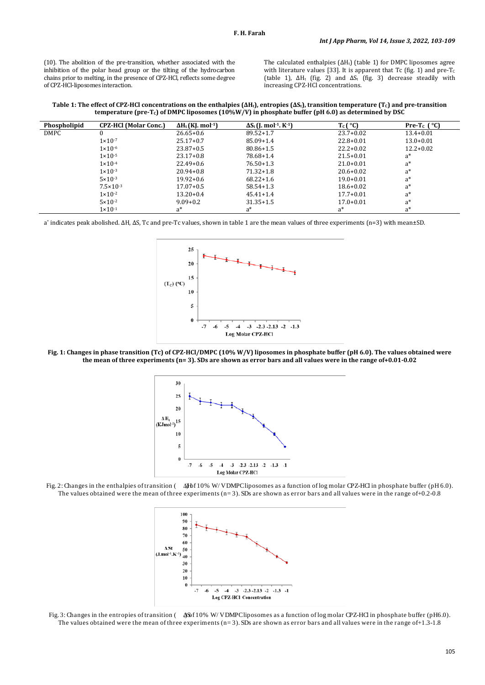(10). The abolition of the pre-transition, whether associated with the inhibition of the polar head group or the tilting of the hydrocarbon chains prior to melting, in the presence of CPZ-HCl, reflects some degree of CPZ-HCl-liposomes interaction.

The calculated enthalpies  $(\Delta H_t)$  (table 1) for DMPC liposomes agree with literature values [33]. It is apparent that Tc (fig. 1) and pre-Tc (table 1),  $\Delta H_t$  (fig. 2) and  $\Delta S_t$  (fig. 3) decrease steadily with increasing CPZ-HCl concentrations.

**Table 1: The effect of CPZ-HCl concentrations on the enthalpies (ΔHt), entropies (ΔSt), transition temperature (TC) and pre-transition**  temperature (pre-T<sub>c</sub>) of DMPC liposomes (10%W/V) in phosphate buffer (pH 6.0) as determined by DSC

| Phospholipid | <b>CPZ-HCI</b> (Molar Conc.) | $\Delta H_t$ (KJ. mol <sup>-1</sup> ) | $\Delta S_t$ (J. mol <sup>-1</sup> , K <sup>-1</sup> ) | $T_c$ $(C)$   | Pre-T <sub>c</sub> $^{\circ}$ C |
|--------------|------------------------------|---------------------------------------|--------------------------------------------------------|---------------|---------------------------------|
| <b>DMPC</b>  |                              | $26.65+0.6$                           | $89.52 + 1.7$                                          | $23.7+0.02$   | $13.4 + 0.01$                   |
|              | $1 \times 10^{-7}$           | $25.17+0.7$                           | $85.09 + 1.4$                                          | $22.8 + 0.01$ | $13.0 + 0.01$                   |
|              | $1 \times 10^{-6}$           | $23.87+0.5$                           | $80.86 + 1.5$                                          | $22.2+0.02$   | $12.2 + 0.02$                   |
|              | $1 \times 10^{-5}$           | $23.17 + 0.8$                         | 78.68+1.4                                              | $21.5 + 0.01$ | $a^*$                           |
|              | $1 \times 10^{-4}$           | $22.49+0.6$                           | $76.50 + 1.3$                                          | $21.0 + 0.01$ | $a^*$                           |
|              | $1 \times 10^{-3}$           | $20.94 + 0.8$                         | $71.32 + 1.8$                                          | $20.6 + 0.02$ | $a^*$                           |
|              | $5 \times 10^{-3}$           | $19.92 + 0.6$                         | $68.22 + 1.6$                                          | $19.0 + 0.01$ | $a^*$                           |
|              | $7.5 \times 10^{-3}$         | $17.07 + 0.5$                         | $58.54 + 1.3$                                          | $18.6 + 0.02$ | $a^*$                           |
|              | $1 \times 10^{-2}$           | $13.20 + 0.4$                         | $45.41 + 1.4$                                          | $17.7 + 0.01$ | $a^*$                           |
|              | $5 \times 10^{-2}$           | $9.09 + 0.2$                          | $31.35 + 1.5$                                          | $17.0 + 0.01$ | $a^*$                           |
|              | $1 \times 10^{-1}$           | $a^*$                                 | a*                                                     | $a^*$         | $a^*$                           |

a\* indicates peak abolished. ΔH, ΔS, Tc and pre-Tc values, shown in table 1 are the mean values of three experiments (n=3) with mean±SD.



**Fig. 1: Changes in phase transition (Tc) of CPZ-HCl/DMPC (10% W/V) liposomes in phosphate buffer (pH 6.0). The values obtained were the mean of three experiments (n= 3). SDs are shown as error bars and all values were in the range of+0.01-0.02**



Fig. 2: Changes in the enthalpies of transition (  $\Delta$ Hbf 10% W/ V DMPC liposomes as a function of log molar CPZ-HCl in phosphate buffer (pH 6.0). The values obtained were the mean of three experiments (n=3). SDs are shown as error bars and all values were in the range of +0.2-0.8



Fig. 3: Changes in the entropies of transition (  $\triangleleft$  \$6f 10% W/ V DMPC liposomes as a function of log molar CPZ-HCl in phosphate buffer (pH6.0). The values obtained were the mean of three experiments  $(n=3)$ . SDs are shown as error bars and all values were in the range of +1.3-1.8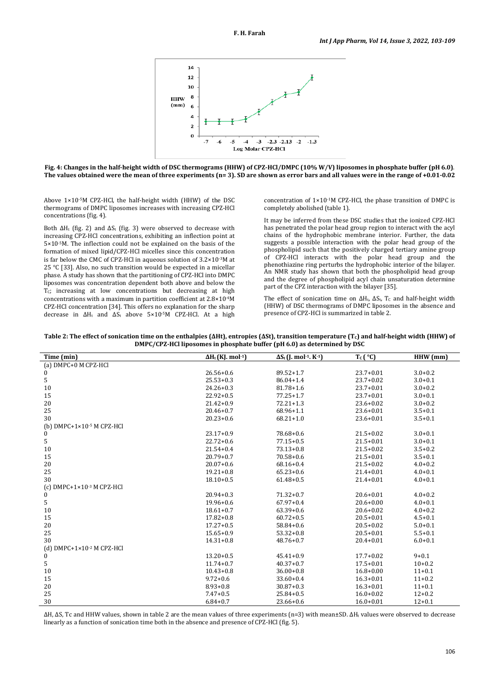

**Fig. 4: Changes in the half-height width of DSC thermograms (HHW) of CPZ-HCl/DMPC (10% W/V) liposomes in phosphate buffer (pH 6.0)**. **The values obtained were the mean of three experiments (n= 3). SD are shown as error bars and all values were in the range of +0.01-0.02**

Above 1×10-5M CPZ-HCl, the half-height width (HHW) of the DSC thermograms of DMPC liposomes increases with increasing CPZ-HCl concentrations (fig. 4).

Both  $\Delta H_t$  (fig. 2) and  $\Delta S_t$  (fig. 3) were observed to decrease with increasing CPZ-HCl concentrations, exhibiting an inflection point at 5×10-5M. The inflection could not be explained on the basis of the formation of mixed lipid/CPZ-HCl micelles since this concentration is far below the CMC of CPZ-HCl in aqueous solution of 3.2×10-3M at 25 °C [33]. Also, no such transition would be expected in a micellar phase. A study has shown that the partitioning of CPZ-HCl into DMPC liposomes was concentration dependent both above and below the  $\overline{T}_{C}$ ; increasing at low concentrations but decreasing at high concentrations with a maximum in partition coefficient at 2.8×10-4M CPZ-HCl concentration [34]. This offers no explanation for the sharp decrease in ΔH<sup>t</sup> and ΔS<sup>t</sup> above 5×10-5M CPZ-HCl. At a high

concentration of  $1\times10^{-1}$ M CPZ-HCl, the phase transition of DMPC is completely abolished (table 1).

It may be inferred from these DSC studies that the ionized CPZ-HCl has penetrated the polar head group region to interact with the acyl chains of the hydrophobic membrane interior. Further, the data suggests a possible interaction with the polar head group of the phospholipid such that the positively charged tertiary amine group of CPZ-HCl interacts with the polar head group and the phenothiazine ring perturbs the hydrophobic interior of the bilayer. An NMR study has shown that both the phospholipid head group and the degree of phospholipid acyl chain unsaturation determine part of the CPZ interaction with the bilayer [35].

The effect of sonication time on  $\Delta H_t$ ,  $\Delta S_t$ , T<sub>c</sub> and half-height width (HHW) of DSC thermograms of DMPC liposomes in the absence and presence of CPZ-HCl is summarized in table 2.

**Table 2: The effect of sonication time on the enthalpies (ΔHt), entropies (ΔSt), transition temperature (TC) and half-height width (HHW) of DMPC/CPZ-HCl liposomes in phosphate buffer (pH 6.0) as determined by DSC**

| Time (min)                                     | $\Delta H_t$ (KJ. mol <sup>-1</sup> ) | $\Delta S_t$ (J. mol <sup>-1</sup> . K <sup>-1</sup> ) | $T_c$ $(°C)$  | $HHW$ (mm)  |
|------------------------------------------------|---------------------------------------|--------------------------------------------------------|---------------|-------------|
| (a) DMPC+0 M CPZ-HCl                           |                                       |                                                        |               |             |
| 0                                              | $26.56 + 0.6$                         | $89.52 + 1.7$                                          | $23.7 + 0.01$ | $3.0 + 0.2$ |
| 5                                              | $25.53 + 0.3$                         | 86.04+1.4                                              | $23.7 + 0.02$ | $3.0 + 0.1$ |
| 10                                             | $24.26 + 0.3$                         | $81.78 + 1.6$                                          | $23.7 + 0.01$ | $3.0 + 0.2$ |
| 15                                             | $22.92 + 0.5$                         | $77.25 + 1.7$                                          | $23.7 + 0.01$ | $3.0 + 0.1$ |
| 20                                             | $21.42 + 0.9$                         | $72.21 + 1.3$                                          | $23.6 + 0.02$ | $3.0 + 0.2$ |
| 25                                             | $20.46 + 0.7$                         | $68.96 + 1.1$                                          | $23.6 + 0.01$ | $3.5 + 0.1$ |
| 30                                             | $20.23 + 0.6$                         | $68.21 + 1.0$                                          | $23.6 + 0.01$ | $3.5 + 0.1$ |
| (b) DMPC+1 $\times$ 10 <sup>-5</sup> M CPZ-HCl |                                       |                                                        |               |             |
| 0                                              | $23.17+0.9$                           | $78.68 + 0.6$                                          | $21.5 + 0.02$ | $3.0 + 0.1$ |
| 5                                              | $22.72+0.6$                           | $77.15 + 0.5$                                          | $21.5 + 0.01$ | $3.0 + 0.1$ |
| 10                                             | $21.54 + 0.4$                         | $73.13 + 0.8$                                          | $21.5 + 0.02$ | $3.5 + 0.2$ |
| 15                                             | $20.79 + 0.7$                         | $70.58 + 0.6$                                          | $21.5 + 0.01$ | $3.5 + 0.1$ |
| 20                                             | $20.07 + 0.6$                         | $68.16 + 0.4$                                          | $21.5 + 0.02$ | $4.0 + 0.2$ |
| 25                                             | $19.21 + 0.8$                         | $65.23 + 0.6$                                          | $21.4 + 0.01$ | $4.0 + 0.1$ |
| 30                                             | $18.10 + 0.5$                         | $61.48 + 0.5$                                          | $21.4 + 0.01$ | $4.0 + 0.1$ |
| (c) DMPC+1×10 $3$ M CPZ-HCl                    |                                       |                                                        |               |             |
| 0                                              | $20.94 + 0.3$                         | $71.32 + 0.7$                                          | $20.6 + 0.01$ | $4.0 + 0.2$ |
| 5                                              | $19.96 + 0.6$                         | $67.97 + 0.4$                                          | $20.6 + 0.00$ | $4.0 + 0.1$ |
| 10                                             | $18.61 + 0.7$                         | $63.39 + 0.6$                                          | $20.6 + 0.02$ | $4.0 + 0.2$ |
| 15                                             | $17.82 + 0.8$                         | $60.72 + 0.5$                                          | $20.5 + 0.01$ | $4.5 + 0.1$ |
| 20                                             | $17.27 + 0.5$                         | $58.84 + 0.6$                                          | $20.5 + 0.02$ | $5.0 + 0.1$ |
| 25                                             | $15.65 + 0.9$                         | $53.32+0.8$                                            | $20.5 + 0.01$ | $5.5 + 0.1$ |
| 30                                             | $14.31 + 0.8$                         | $48.76 + 0.7$                                          | $20.4 + 0.01$ | $6.0 + 0.1$ |
| (d) $DMPC+1\times10^{-2}$ M CPZ-HCl            |                                       |                                                        |               |             |
| 0                                              | $13.20 + 0.5$                         | $45.41 + 0.9$                                          | $17.7 + 0.02$ | $9 + 0.1$   |
| 5                                              | $11.74 + 0.7$                         | $40.37 + 0.7$                                          | $17.5 + 0.01$ | $10+0.2$    |
| 10                                             | $10.43 + 0.8$                         | $36.00 + 0.8$                                          | $16.8 + 0.00$ | $11+0.1$    |
| 15                                             | $9.72 + 0.6$                          | $33.60 + 0.4$                                          | $16.3 + 0.01$ | $11+0.2$    |
| 20                                             | $8.93 + 0.8$                          | $30.87 + 0.3$                                          | $16.3 + 0.01$ | $11+0.1$    |
| 25                                             | $7.47+0.5$                            | $25.84 + 0.5$                                          | $16.0 + 0.02$ | $12 + 0.2$  |
| 30                                             | $6.84 + 0.7$                          | $23.66 + 0.6$                                          | $16.0 + 0.01$ | $12+0.1$    |

ΔH, ΔS, Tc and HHW values, shown in table 2 are the mean values of three experiments (n=3) with mean±SD. ΔH<sup>t</sup> values were observed to decrease linearly as a function of sonication time both in the absence and presence of CPZ-HCl (fig. 5).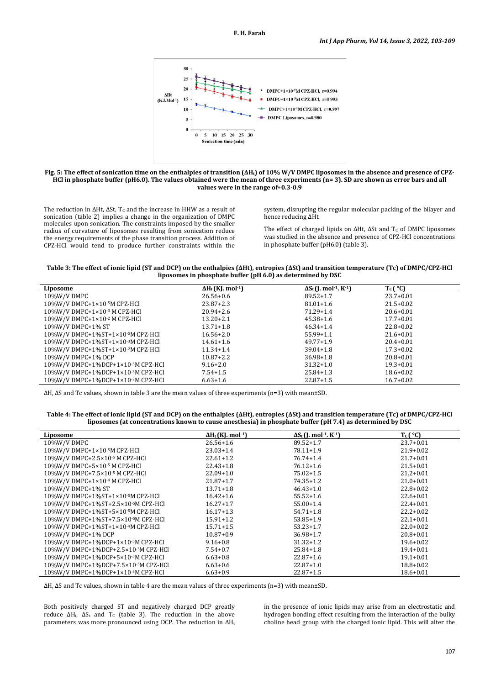

#### **Fig. 5: The effect of sonication time on the enthalpies of transition (ΔHt) of 10% W/V DMPC liposomes in the absence and presence of CPZ-HCl in phosphate buffer (pH6.0). The values obtained were the mean of three experiments (n= 3). SD are shown as error bars and all values were in the range of**+**0.3-0.9**

The reduction in  $\Delta Ht$ ,  $\Delta St$ ,  $T_c$  and the increase in HHW as a result of sonication (table 2) implies a change in the organization of DMPC molecules upon sonication. The constraints imposed by the smaller radius of curvature of liposomes resulting from sonication reduce the energy requirements of the phase transition process. Addition of CPZ-HCl would tend to produce further constraints within the

system, disrupting the regular molecular packing of the bilayer and hence reducing ΔHt.

The effect of charged lipids on  $\Delta Ht$ ,  $\Delta St$  and T<sub>c</sub> of DMPC liposomes was studied in the absence and presence of CPZ-HCl concentrations in phosphate buffer (pH6.0) (table 3).

**Table 3: The effect of ionic lipid (ST and DCP) on the enthalpies (ΔHt), entropies (ΔSt) and transition temperature (Tc) of DMPC/CPZ-HCl liposomes in phosphate buffer (pH 6.0) as determined by DSC**

| Liposome                                     | $\Delta H_t$ (KJ. mol <sup>-1</sup> ) | $\Delta S_t$ (J. mol <sup>-1</sup> . K <sup>-1</sup> ) | $T_c$ ( $^{\circ}$ C) |
|----------------------------------------------|---------------------------------------|--------------------------------------------------------|-----------------------|
| 10%W/V DMPC                                  | $26.56 + 0.6$                         | $89.52 + 1.7$                                          | $23.7 + 0.01$         |
| 10%W/V DMPC+1×10-5M CPZ-HCl                  | $23.87 + 2.3$                         | $81.01 + 1.6$                                          | $21.5 + 0.02$         |
| 10%W/V DMPC+1×10-3 M CPZ-HCl                 | $20.94 + 2.6$                         | $71.29 + 1.4$                                          | $20.6 + 0.01$         |
| 10%W/V DMPC+1×10-2 M CPZ-HCl                 | $13.20 + 2.1$                         | $45.38 + 1.6$                                          | $17.7 + 0.01$         |
| 10%W/V DMPC+1% ST                            | $13.71 + 1.8$                         | $46.34 + 1.4$                                          | $22.8 + 0.02$         |
| 10%W/V DMPC+1%ST+1×10 5M CPZ-HCl             | $16.56 + 2.0$                         | $55.99 + 1.1$                                          | $21.6 + 0.01$         |
| 10%W/V DMPC+1%ST+1×10 3M CPZ-HCl             | $14.61 + 1.6$                         | $49.77 + 1.9$                                          | $20.4 + 0.01$         |
| 10%W/V DMPC+1%ST+1×10 <sup>2</sup> M CPZ-HCl | $11.34 + 1.4$                         | $39.04 + 1.8$                                          | $17.3 + 0.02$         |
| 10%W/V DMPC+1% DCP                           | $10.87 + 2.2$                         | $36.98 + 1.8$                                          | $20.8 + 0.01$         |
| 10%W/V DMPC+1%DCP+1×10-5M CPZ-HCl            | $9.16 + 2.0$                          | $31.32 + 1.0$                                          | $19.3 + 0.01$         |
| 10%W/V DMPC+1%DCP+1×10-3M CPZ-HCl            | $7.54 + 1.5$                          | $25.84 + 1.3$                                          | $18.6 + 0.02$         |
| 10%W/V DMPC+1%DCP+1×10-2M CPZ-HCl            | $6.63 + 1.6$                          | $22.87 + 1.5$                                          | $16.7 + 0.02$         |

ΔH, ΔS and Tc values, shown in table 3 are the mean values of three experiments (n=3) with mean±SD.

**Table 4: The effect of ionic lipid (ST and DCP) on the enthalpies (ΔHt), entropies (ΔSt) and transition temperature (Tc) of DMPC/CPZ-HCl liposomes (at concentrations known to cause anesthesia) in phosphate buffer (pH 7.4) as determined by DSC**

| Liposome                                      | $\Delta H_t$ (KJ. mol <sup>-1</sup> ) | $\Delta S_t$ (J. mol <sup>-1</sup> . K <sup>-1</sup> ) | $T_c$ $(C)$   |
|-----------------------------------------------|---------------------------------------|--------------------------------------------------------|---------------|
| 10%W/V DMPC                                   | $26.56 + 1.6$                         | $89.52 + 1.7$                                          | $23.7 + 0.01$ |
| 10%W/V DMPC+1×10 5M CPZ-HCl                   | $23.03 + 1.4$                         | $78.11 + 1.9$                                          | $21.9 + 0.02$ |
| 10%W/V DMPC+2.5×10-5 M CPZ-HCl                | $22.61 + 1.2$                         | $76.74 + 1.4$                                          | $21.7 + 0.01$ |
| 10%W/V DMPC+5×10-5 M CPZ-HCl                  | $22.43 + 1.8$                         | $76.12 + 1.6$                                          | $21.5 + 0.01$ |
| 10%W/V DMPC+7.5×10 5 M CPZ-HCl                | $22.09 + 1.0$                         | $75.02 + 1.5$                                          | $21.2 + 0.01$ |
| 10%W/V DMPC+1×10 <sup>-4</sup> M CPZ-HCl      | $21.87 + 1.7$                         | $74.35 + 1.2$                                          | $21.0 + 0.01$ |
| 10%W/V DMPC+1% ST                             | $13.71 + 1.8$                         | $46.43 + 1.0$                                          | $22.8 + 0.02$ |
| 10%W/V DMPC+1%ST+1×10-5M CPZ-HCl              | $16.42 + 1.6$                         | $55.52+1.6$                                            | $22.6 + 0.01$ |
| 10%W/V DMPC+1%ST+2.5×10-5M CPZ-HCl            | $16.27 + 1.7$                         | $55.00 + 1.4$                                          | $22.4 + 0.01$ |
| 10%W/V DMPC+1%ST+5×10-5M CPZ-HCl              | $16.17 + 1.3$                         | $54.71 + 1.8$                                          | $22.2 + 0.02$ |
| 10%W/V DMPC+1%ST+7.5×10-5M CPZ-HCl            | $15.91 + 1.2$                         | $53.85+1.9$                                            | $22.1 + 0.01$ |
| 10%W/V DMPC+1%ST+1×10 <sup>-4</sup> M CPZ-HCl | $15.71 + 1.5$                         | $53.23 + 1.7$                                          | $22.0 + 0.02$ |
| 10%W/V DMPC+1% DCP                            | $10.87 + 0.9$                         | $36.98 + 1.7$                                          | $20.8 + 0.01$ |
| 10%W/V DMPC+1%DCP+1×10-5M CPZ-HCl             | $9.16 + 0.8$                          | $31.32 + 1.2$                                          | $19.6 + 0.02$ |
| 10%W/V DMPC+1%DCP+2.5×10-5M CPZ-HCl           | $7.54 + 0.7$                          | $25.84 + 1.8$                                          | $19.4 + 0.01$ |
| 10%W/V DMPC+1%DCP+5×10-5M CPZ-HCl             | $6.63 + 0.8$                          | $22.87+1.6$                                            | $19.1 + 0.01$ |
| 10%W/V DMPC+1%DCP+7.5×10-5M CPZ-HCl           | $6.63 + 0.6$                          | $22.87 + 1.0$                                          | $18.8 + 0.02$ |
| 10%W/V DMPC+1%DCP+1×10-4M CPZ-HCl             | $6.63 + 0.9$                          | $22.87 + 1.5$                                          | $18.6 + 0.01$ |

ΔH, ΔS and Tc values, shown in table 4 are the mean values of three experiments (n=3) with mean±SD.

Both positively charged ST and negatively charged DCP greatly reduce  $\Delta H_t$ ,  $\Delta S_t$  and T<sub>c</sub> (table 3). The reduction in the above parameters was more pronounced using DCP. The reduction in  $\Delta H_t$ 

in the presence of ionic lipids may arise from an electrostatic and hydrogen bonding effect resulting from the interaction of the bulky choline head group with the charged ionic lipid. This will alter the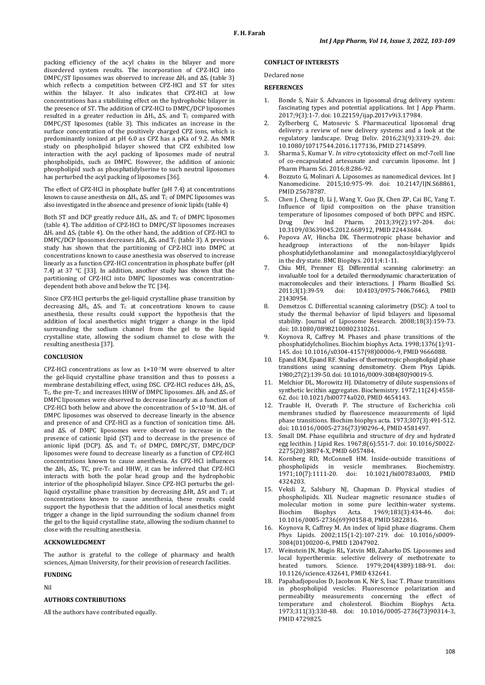packing efficiency of the acyl chains in the bilayer and more disordered system results. The incorporation of CPZ-HCl into DMPC/ST liposomes was observed to increase  $\Delta H_t$  and  $\Delta S_t$  (table 3) which reflects a competition between CPZ-HCl and ST for sites within the bilayer. It also indicates that CPZ-HCl at low concentrations has a stabilizing effect on the hydrophobic bilayer in the presence of ST. The addition of CPZ-HCl to DMPC/DCP liposomes resulted in a greater reduction in  $\Delta H_t$ ,  $\Delta S_t$  and  $T_c$  compared with DMPC/ST liposomes (table 3). This indicates an increase in the surface concentration of the positively charged CPZ ions, which is predominantly ionized at pH 6.0 as CPZ has a pKa of 9.2. An NMR study on phospholipid bilayer showed that CPZ exhibited low interaction with the acyl packing of liposomes made of neutral phospholipids, such as DMPC. However, the addition of anionic phospholipid such as phosphatidylserine to such neutral liposomes has perturbed the acyl packing of liposomes [36].

The effect of CPZ-HCl in phosphate buffer (pH 7.4) at concentrations known to cause anesthesia on  $\Delta H_b$ ,  $\Delta S_t$  and T<sub>C</sub> of DMPC liposomes was also investigated in the absence and presence of ionic lipids (table 4)

Both ST and DCP greatly reduce  $\Delta H_t$ ,  $\Delta S_t$  and T<sub>C</sub> of DMPC liposomes (table 4). The addition of CPZ-HCl to DMPC/ST liposomes increases ΔH<sup>t</sup> and ΔS<sup>t</sup> (table 4). On the other hand, the addition of CPZ-HCl to DMPC/DCP liposomes decreases  $\Delta H_t$ ,  $\Delta S_t$  and  $T_c$  (table 3). A previous study has shown that the partitioning of CPZ-HCl into DMPC at concentrations known to cause anesthesia was observed to increase linearly as a function CPZ-HCl concentration in phosphate buffer (pH 7.4) at 37 °C [33]. In addition, another study has shown that the partitioning of CPZ-HCl into DMPC liposomes was concentrationdependent both above and below the TC [34].

Since CPZ-HCl perturbs the gel-liquid crystalline phase transition by decreasing  $\Delta H_t$ ,  $\Delta S_t$  and  $T_c$  at concentrations known to cause anesthesia, these results could support the hypothesis that the addition of local anesthetics might trigger a change in the lipid surrounding the sodium channel from the gel to the liquid crystalline state, allowing the sodium channel to close with the resulting anesthesia [37].

# **CONCLUSION**

CPZ-HCl concentrations as low as 1×10-7M were observed to alter the gel-liquid crystalline phase transition and thus to possess a membrane destabilizing effect, using DSC. CPZ-HCl reduces ΔHt, ΔSt, T<sub>c</sub>, the pre-T<sub>c</sub> and increases HHW of DMPC liposomes. ΔH<sub>t</sub> and ΔS<sub>t</sub> of DMPC liposomes were observed to decrease linearly as a function of CPZ-HCl both below and above the concentration of 5×10-3M. ΔH<sup>t</sup> of DMPC liposomes was observed to decrease linearly in the absence and presence of and CPZ-HCl as a function of sonication time.  $\Delta H_t$ and ΔS<sup>t</sup> of DMPC liposomes were observed to increase in the presence of cationic lipid (ST) and to decrease in the presence of anionic lipid (DCP).  $\Delta S_t$  and T<sub>C</sub> of DMPC, DMPC/ST, DMPC/DCP liposomes were found to decrease linearly as a function of CPZ-HCl concentrations known to cause anesthesia. As CPZ-HCl influences the ΔH<sub>t</sub>, ΔS<sub>t</sub>, TC, pre-T<sub>c</sub> and HHW, it can be inferred that CPZ-HCl interacts with both the polar head group and the hydrophobic interior of the phospholipid bilayer. Since CPZ-HCl perturbs the gelliquid crystalline phase transition by decreasing  $ΔHt$ ,  $ΔSt$  and  $Tc$  at concentrations known to cause anesthesia, these results could support the hypothesis that the addition of local anesthetics might trigger a change in the lipid surrounding the sodium channel from the gel to the liquid crystalline state, allowing the sodium channel to close with the resulting anesthesia.

# **ACKNOWLEDGMENT**

The author is grateful to the college of pharmacy and health sciences, Ajman University, for their provision of research facilities.

#### **FUNDING**

Nil

#### **AUTHORS CONTRIBUTIONS**

All the authors have contributed equally.

## **CONFLICT OF INTERESTS**

#### Declared none

#### **REFERENCES**

- 1. Bonde S, Nair S. Advances in liposomal drug delivery system: fascinating types and potential applications. Int J App Pharm. 2017;9(3):1-7. doi[: 10.22159/ijap.2017v9i3.17984.](https://doi.org/10.22159/ijap.2017v9i3.17984)
- 2. Zylberberg C, Matosevic S. Pharmaceutical liposomal drug delivery: a review of new delivery systems and a look at the regulatory landscape. Drug Deliv. 2016;23(9):3319-29. doi: [10.1080/10717544.2016.1177136,](https://doi.org/10.1080/10717544.2016.1177136) PMI[D 27145899.](https://www.ncbi.nlm.nih.gov/pubmed/27145899)
- 3. Sharma S, Kumar V. *In vitro* cytotoxicity effect on mcf-7cell line of co-encapsulated artesunate and curcumin liposome. Int J Pharm Pharm Sci. 2016;8:286-92.
- 4. Bozzuto G, Molinari A. Liposomes as nanomedical devices. Int J Nanomedicine. 2015;10:975-99. doi: [10.2147/IJN.S68861,](https://doi.org/10.2147/IJN.S68861)  PMI[D 25678787.](https://www.ncbi.nlm.nih.gov/pubmed/25678787)
- 5. Chen J, Cheng D, Li J, Wang Y, Guo JX, Chen ZP, Cai BC, Yang T. Influence of lipid composition on the phase transition temperature of liposomes composed of both DPPC and HSPC.<br>Drug Dev Ind Pharm 2013:39(2):197-204 doi:  $Dru\sigma$  Dev Ind Pharm  $2013.39(2) \cdot 197.204$ [10.3109/03639045.2012.668912,](https://doi.org/10.3109/03639045.2012.668912) PMI[D 22443684.](https://www.ncbi.nlm.nih.gov/pubmed/22443684)
- 6. Popova AV, Hincha DK. Thermotropic phase behavior and headgroup interactions of the non-bilayer lipids phosphatidylethanolamine and monogalactosyldiacylglycerol in the dry state. BMC Biophys. 2011;4:1-11.
- 7. Chiu MH, Prenner EJ. Differential scanning calorimetry: an invaluable tool for a detailed thermodynamic characterization of macromolecules and their interactions. J Pharm Bioallied Sci.<br>2011;3(1):39-59. doi: 10.4103/0975-7406.76463, PMID doi: 10.4103/0975-7406.76463, [21430954.](https://www.ncbi.nlm.nih.gov/pubmed/21430954)
- 8. Demetzos C. Differential scanning calorimetry (DSC): A tool to study the thermal behavior of lipid bilayers and liposomal stability. Journal of Liposome Research. 2008;18(3):159-73. doi[: 10.1080/08982100802310261.](https://doi.org/10.1080/08982100802310261)
- 9. Koynova R, Caffrey M. Phases and phase transitions of the phosphatidylcholines. Biochim biophys Acta. 1998;1376(1):91- 145. doi[: 10.1016/s0304-4157\(98\)00006-9,](https://doi.org/10.1016/s0304-4157(98)00006-9) PMI[D 9666088.](https://www.ncbi.nlm.nih.gov/pubmed/9666088)
- 10. Epand RM, Epand RF. Studies of thermotropic phospholipid phase transitions using scanning densitometry. Chem Phys Lipids. 1980;27(2):139-50. doi[: 10.1016/0009-3084\(80\)90019-5.](https://doi.org/10.1016/0009-3084(80)90019-5)
- 11. Melchior DL, Morowitz HJ. Dilatometry of dilute suspensions of synthetic lecithin aggregates. Biochemistry. 1972;11(24):4558- 62. doi[: 10.1021/bi00774a020,](https://doi.org/10.1021/bi00774a020) PMI[D 4654143.](https://www.ncbi.nlm.nih.gov/pubmed/4654143)
- 12. Trauble H, Overath P. The structure of Escherichia coli membranes studied by fluorescence measurements of lipid phase transitions. Biochim biophys acta. 1973;307(3):491-512. doi[: 10.1016/0005-2736\(73\)90296-4,](https://doi.org/10.1016/0005-2736(73)90296-4) PMI[D 4581497.](https://www.ncbi.nlm.nih.gov/pubmed/4581497)
- 13. Small DM. Phase equilibria and structure of dry and hydrated egg lecithin. J Lipid Res. 1967;8(6):551-7. doi: [10.1016/S0022-](https://doi.org/10.1016/S0022-2275(20)38874-X) [2275\(20\)38874-X,](https://doi.org/10.1016/S0022-2275(20)38874-X) PMI[D 6057484.](https://www.ncbi.nlm.nih.gov/pubmed/6057484)
- 14. Kornberg RD, McConnell HM. Inside-outside transitions of in vesicle membranes. Biochemistry.<br>1-20. doi: 10.1021/bi00783a003. PMID. 1971;10(7):1111-20. doi: 10.1021/bi00783a003, [4324203.](https://www.ncbi.nlm.nih.gov/pubmed/4324203)
- 15. Veksli Z, Salsbury NJ, Chapman D. Physical studies of phospholipids. XII. Nuclear magnetic resonance studies of molecular motion in some pure lecithin-water systems.<br>Biochim Bionhys Acta. 1969:183(3):434-46. doi: 1969;183(3):434-46. [10.1016/0005-2736\(69\)90158-8,](https://doi.org/10.1016/0005-2736(69)90158-8) PMI[D 5822816.](https://www.ncbi.nlm.nih.gov/pubmed/5822816)
- 16. Koynova R, Caffrey M. An index of lipid phase diagrams. Chem Phys Lipids. 2002;115(1-2):107-219. doi: [10.1016/s0009-](https://doi.org/10.1016/s0009-3084(01)00200-6) [3084\(01\)00200-6,](https://doi.org/10.1016/s0009-3084(01)00200-6) PMI[D 12047902.](https://www.ncbi.nlm.nih.gov/pubmed/12047902)
- 17. Weinstein JN, Magin RL, Yatvin MB, Zaharko DS. Liposomes and local hyperthermia: selective delivery of methotrexate to heated tumors. Science. 1979:204(4389):188-91. doi: heated tumors. Science. 1979;204(4389):188-91. [10.1126/science.432641,](https://doi.org/10.1126/science.432641) PMI[D 432641.](https://www.ncbi.nlm.nih.gov/pubmed/432641)
- 18. Papahadjopoulos D, Jacobson K, Nir S, Isac T. Phase transitions in phospholipid vesicles. Fluorescence polarization and permeability measurements concerning the effect of temperature and cholesterol. Biochim Biophys Acta. 1973;311(3):330-48. doi: [10.1016/0005-2736\(73\)90314-3,](https://doi.org/10.1016/0005-2736(73)90314-3)  PMI[D 4729825.](https://www.ncbi.nlm.nih.gov/pubmed/4729825)